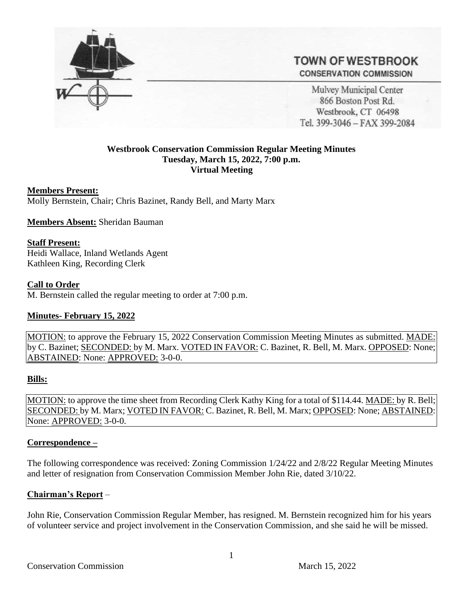

# **TOWN OF WESTBROOK CONSERVATION COMMISSION**

Mulvey Municipal Center 866 Boston Post Rd. Westbrook, CT 06498 Tel. 399-3046 - FAX 399-2084

## **Westbrook Conservation Commission Regular Meeting Minutes Tuesday, March 15, 2022, 7:00 p.m. Virtual Meeting**

### **Members Present:**

Molly Bernstein, Chair; Chris Bazinet, Randy Bell, and Marty Marx

**Members Absent:** Sheridan Bauman

#### **Staff Present:**

Heidi Wallace, Inland Wetlands Agent Kathleen King, Recording Clerk

#### **Call to Order**

M. Bernstein called the regular meeting to order at 7:00 p.m.

### **Minutes- February 15, 2022**

MOTION: to approve the February 15, 2022 Conservation Commission Meeting Minutes as submitted. MADE: by C. Bazinet; SECONDED: by M. Marx. VOTED IN FAVOR: C. Bazinet, R. Bell, M. Marx. OPPOSED: None; ABSTAINED: None: APPROVED: 3-0-0.

### **Bills:**

MOTION: to approve the time sheet from Recording Clerk Kathy King for a total of \$114.44. MADE: by R. Bell; SECONDED: by M. Marx; VOTED IN FAVOR: C. Bazinet, R. Bell, M. Marx; OPPOSED: None; ABSTAINED: None: APPROVED: 3-0-0.

### **Correspondence –**

The following correspondence was received: Zoning Commission 1/24/22 and 2/8/22 Regular Meeting Minutes and letter of resignation from Conservation Commission Member John Rie, dated 3/10/22.

### **Chairman's Report** –

John Rie, Conservation Commission Regular Member, has resigned. M. Bernstein recognized him for his years of volunteer service and project involvement in the Conservation Commission, and she said he will be missed.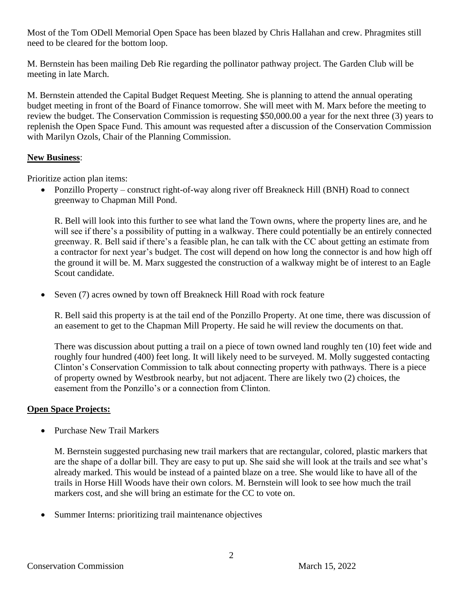Most of the Tom ODell Memorial Open Space has been blazed by Chris Hallahan and crew. Phragmites still need to be cleared for the bottom loop.

M. Bernstein has been mailing Deb Rie regarding the pollinator pathway project. The Garden Club will be meeting in late March.

M. Bernstein attended the Capital Budget Request Meeting. She is planning to attend the annual operating budget meeting in front of the Board of Finance tomorrow. She will meet with M. Marx before the meeting to review the budget. The Conservation Commission is requesting \$50,000.00 a year for the next three (3) years to replenish the Open Space Fund. This amount was requested after a discussion of the Conservation Commission with Marilyn Ozols, Chair of the Planning Commission.

## **New Business**:

Prioritize action plan items:

• Ponzillo Property – construct right-of-way along river off Breakneck Hill (BNH) Road to connect greenway to Chapman Mill Pond.

R. Bell will look into this further to see what land the Town owns, where the property lines are, and he will see if there's a possibility of putting in a walkway. There could potentially be an entirely connected greenway. R. Bell said if there's a feasible plan, he can talk with the CC about getting an estimate from a contractor for next year's budget. The cost will depend on how long the connector is and how high off the ground it will be. M. Marx suggested the construction of a walkway might be of interest to an Eagle Scout candidate.

• Seven (7) acres owned by town off Breakneck Hill Road with rock feature

R. Bell said this property is at the tail end of the Ponzillo Property. At one time, there was discussion of an easement to get to the Chapman Mill Property. He said he will review the documents on that.

There was discussion about putting a trail on a piece of town owned land roughly ten (10) feet wide and roughly four hundred (400) feet long. It will likely need to be surveyed. M. Molly suggested contacting Clinton's Conservation Commission to talk about connecting property with pathways. There is a piece of property owned by Westbrook nearby, but not adjacent. There are likely two (2) choices, the easement from the Ponzillo's or a connection from Clinton.

## **Open Space Projects:**

• Purchase New Trail Markers

M. Bernstein suggested purchasing new trail markers that are rectangular, colored, plastic markers that are the shape of a dollar bill. They are easy to put up. She said she will look at the trails and see what's already marked. This would be instead of a painted blaze on a tree. She would like to have all of the trails in Horse Hill Woods have their own colors. M. Bernstein will look to see how much the trail markers cost, and she will bring an estimate for the CC to vote on.

• Summer Interns: prioritizing trail maintenance objectives